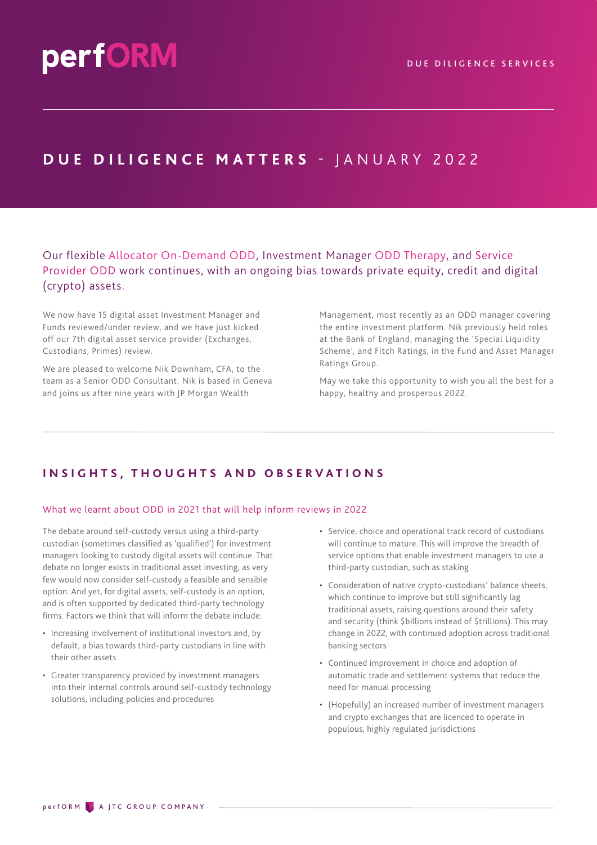## **DUE DILIGENCE MATTERS** - JANUARY 2022

Our flexible Allocator On-Demand ODD, Investment Manager ODD Therapy, and Service Provider ODD work continues, with an ongoing bias towards private equity, credit and digital (crypto) assets.

We now have 15 digital asset Investment Manager and Funds reviewed/under review, and we have just kicked off our 7th digital asset service provider (Exchanges, Custodians, Primes) review.

We are pleased to welcome Nik Downham, CFA, to the team as a Senior ODD Consultant. Nik is based in Geneva and joins us after nine years with JP Morgan Wealth

Management, most recently as an ODD manager covering the entire investment platform. Nik previously held roles at the Bank of England, managing the 'Special Liquidity Scheme', and Fitch Ratings, in the Fund and Asset Manager Ratings Group.

May we take this opportunity to wish you all the best for a happy, healthy and prosperous 2022.

### **INSIGHTS, THOUGHTS AND OBSERVATIONS**

### What we learnt about ODD in 2021 that will help inform reviews in 2022

The debate around self-custody versus using a third-party custodian (sometimes classified as 'qualified') for investment managers looking to custody digital assets will continue. That debate no longer exists in traditional asset investing, as very few would now consider self-custody a feasible and sensible option. And yet, for digital assets, self-custody is an option, and is often supported by dedicated third-party technology firms. Factors we think that will inform the debate include:

- Increasing involvement of institutional investors and, by default, a bias towards third-party custodians in line with their other assets
- Greater transparency provided by investment managers into their internal controls around self-custody technology solutions, including policies and procedures
- Service, choice and operational track record of custodians will continue to mature. This will improve the breadth of service options that enable investment managers to use a third-party custodian, such as staking
- Consideration of native crypto-custodians' balance sheets, which continue to improve but still significantly lag traditional assets, raising questions around their safety and security (think \$billions instead of \$trillions). This may change in 2022, with continued adoption across traditional banking sectors
- Continued improvement in choice and adoption of automatic trade and settlement systems that reduce the need for manual processing
- (Hopefully) an increased number of investment managers and crypto exchanges that are licenced to operate in populous, highly regulated jurisdictions